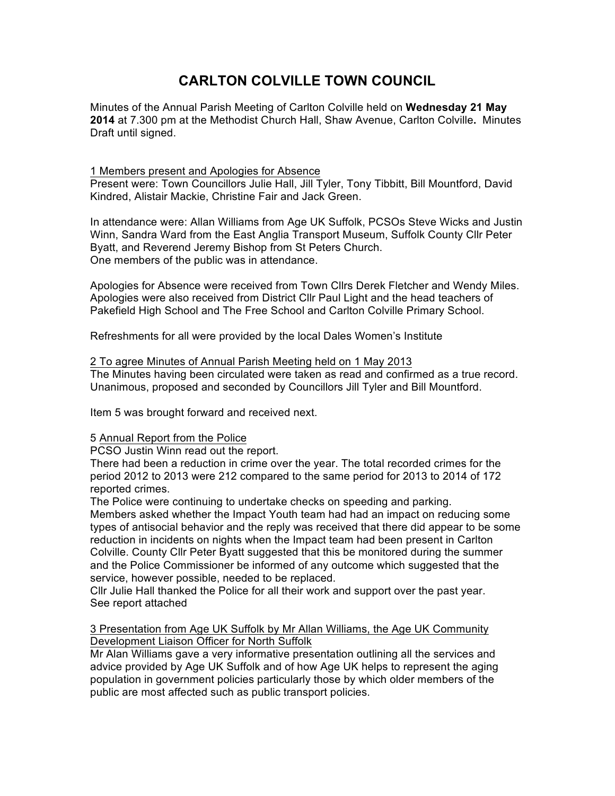# **CARLTON COLVILLE TOWN COUNCIL**

Minutes of the Annual Parish Meeting of Carlton Colville held on **Wednesday 21 May 2014** at 7.300 pm at the Methodist Church Hall, Shaw Avenue, Carlton Colville**.** Minutes Draft until signed.

1 Members present and Apologies for Absence Present were: Town Councillors Julie Hall, Jill Tyler, Tony Tibbitt, Bill Mountford, David Kindred, Alistair Mackie, Christine Fair and Jack Green.

In attendance were: Allan Williams from Age UK Suffolk, PCSOs Steve Wicks and Justin Winn, Sandra Ward from the East Anglia Transport Museum, Suffolk County Cllr Peter Byatt, and Reverend Jeremy Bishop from St Peters Church. One members of the public was in attendance.

Apologies for Absence were received from Town Cllrs Derek Fletcher and Wendy Miles. Apologies were also received from District Cllr Paul Light and the head teachers of Pakefield High School and The Free School and Carlton Colville Primary School.

Refreshments for all were provided by the local Dales Women's Institute

#### 2 To agree Minutes of Annual Parish Meeting held on 1 May 2013

The Minutes having been circulated were taken as read and confirmed as a true record. Unanimous, proposed and seconded by Councillors Jill Tyler and Bill Mountford.

Item 5 was brought forward and received next.

#### 5 Annual Report from the Police

PCSO Justin Winn read out the report.

There had been a reduction in crime over the year. The total recorded crimes for the period 2012 to 2013 were 212 compared to the same period for 2013 to 2014 of 172 reported crimes.

The Police were continuing to undertake checks on speeding and parking.

Members asked whether the Impact Youth team had had an impact on reducing some types of antisocial behavior and the reply was received that there did appear to be some reduction in incidents on nights when the Impact team had been present in Carlton Colville. County Cllr Peter Byatt suggested that this be monitored during the summer and the Police Commissioner be informed of any outcome which suggested that the service, however possible, needed to be replaced.

Cllr Julie Hall thanked the Police for all their work and support over the past year. See report attached

#### 3 Presentation from Age UK Suffolk by Mr Allan Williams, the Age UK Community Development Liaison Officer for North Suffolk

Mr Alan Williams gave a very informative presentation outlining all the services and advice provided by Age UK Suffolk and of how Age UK helps to represent the aging population in government policies particularly those by which older members of the public are most affected such as public transport policies.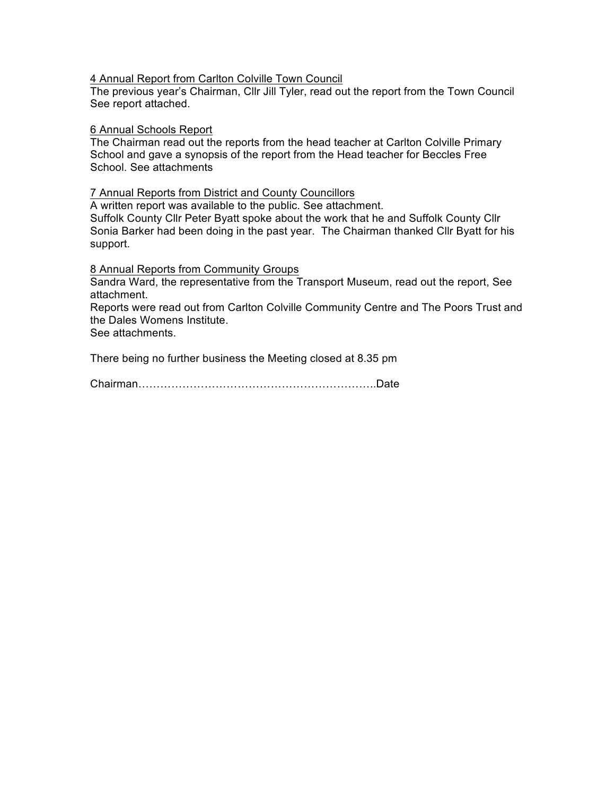#### 4 Annual Report from Carlton Colville Town Council

The previous year's Chairman, Cllr Jill Tyler, read out the report from the Town Council See report attached.

#### 6 Annual Schools Report

The Chairman read out the reports from the head teacher at Carlton Colville Primary School and gave a synopsis of the report from the Head teacher for Beccles Free School. See attachments

#### 7 Annual Reports from District and County Councillors

A written report was available to the public. See attachment.

Suffolk County Cllr Peter Byatt spoke about the work that he and Suffolk County Cllr Sonia Barker had been doing in the past year. The Chairman thanked Cllr Byatt for his support.

8 Annual Reports from Community Groups

Sandra Ward, the representative from the Transport Museum, read out the report, See attachment.

Reports were read out from Carlton Colville Community Centre and The Poors Trust and the Dales Womens Institute.

See attachments.

There being no further business the Meeting closed at 8.35 pm

Chairman………………………………………………………..Date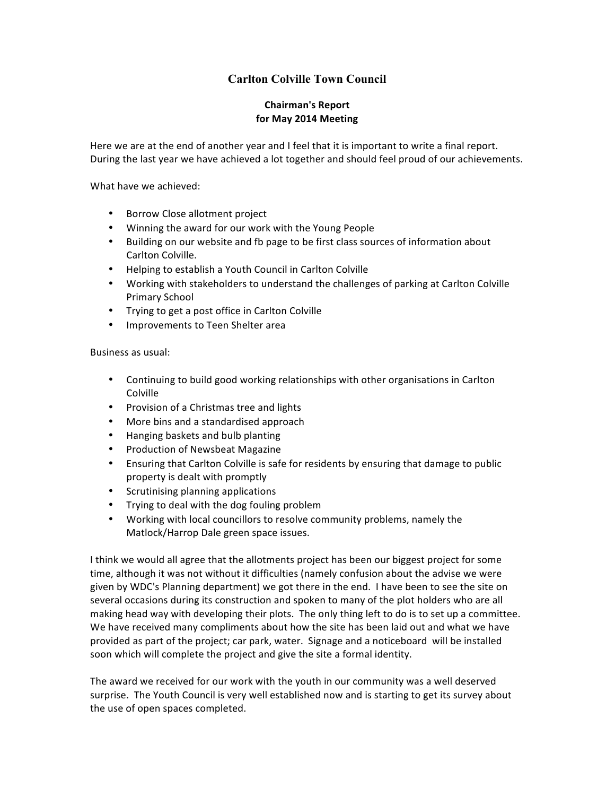### **Carlton Colville Town Council**

#### **Chairman's Report for May 2014 Meeting**

Here we are at the end of another year and I feel that it is important to write a final report. During the last year we have achieved a lot together and should feel proud of our achievements.

What have we achieved:

- Borrow Close allotment project
- Winning the award for our work with the Young People
- Building on our website and fb page to be first class sources of information about Carlton Colville.
- Helping to establish a Youth Council in Carlton Colville
- Working with stakeholders to understand the challenges of parking at Carlton Colville Primary School
- Trying to get a post office in Carlton Colville
- Improvements to Teen Shelter area

Business as usual:

- Continuing to build good working relationships with other organisations in Carlton Colville
- Provision of a Christmas tree and lights
- More bins and a standardised approach
- Hanging baskets and bulb planting
- Production of Newsbeat Magazine
- Ensuring that Carlton Colville is safe for residents by ensuring that damage to public property is dealt with promptly
- Scrutinising planning applications
- Trying to deal with the dog fouling problem
- Working with local councillors to resolve community problems, namely the Matlock/Harrop Dale green space issues.

I think we would all agree that the allotments project has been our biggest project for some time, although it was not without it difficulties (namely confusion about the advise we were given by WDC's Planning department) we got there in the end. I have been to see the site on several occasions during its construction and spoken to many of the plot holders who are all making head way with developing their plots. The only thing left to do is to set up a committee. We have received many compliments about how the site has been laid out and what we have provided as part of the project; car park, water. Signage and a noticeboard will be installed soon which will complete the project and give the site a formal identity.

The award we received for our work with the youth in our community was a well deserved surprise. The Youth Council is very well established now and is starting to get its survey about the use of open spaces completed.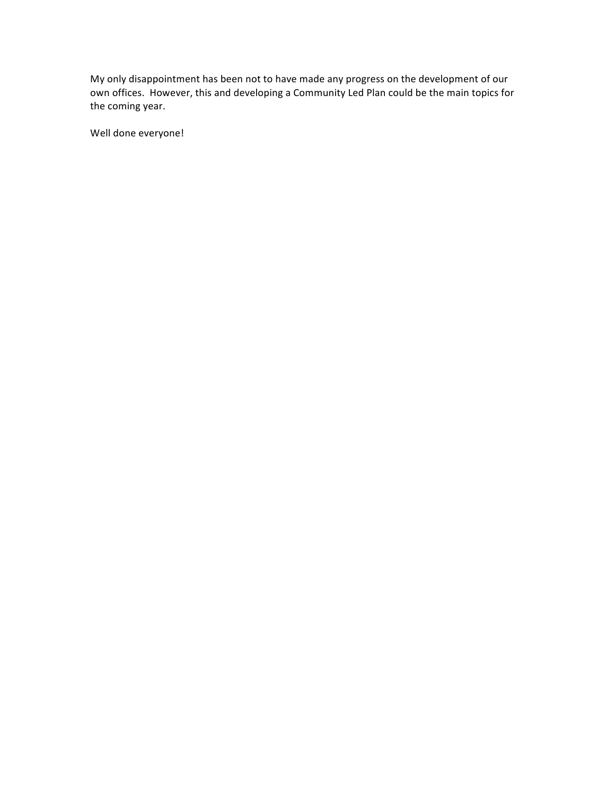My only disappointment has been not to have made any progress on the development of our own offices. However, this and developing a Community Led Plan could be the main topics for the coming year.

Well done everyone!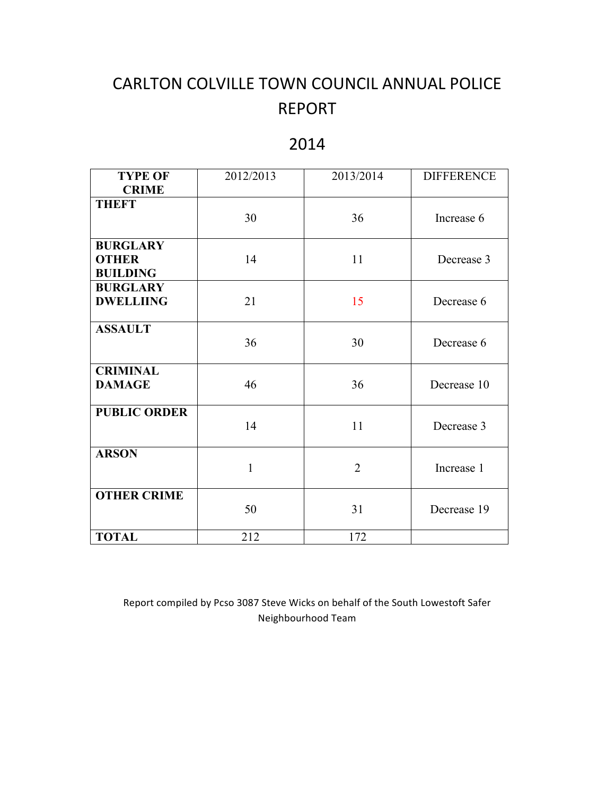# CARLTON COLVILLE TOWN COUNCIL ANNUAL POLICE REPORT

# 2014

| <b>TYPE OF</b><br><b>CRIME</b>                     | 2012/2013    | 2013/2014      | <b>DIFFERENCE</b> |
|----------------------------------------------------|--------------|----------------|-------------------|
| <b>THEFT</b>                                       | 30           | 36             | Increase 6        |
| <b>BURGLARY</b><br><b>OTHER</b><br><b>BUILDING</b> | 14           | 11             | Decrease 3        |
| <b>BURGLARY</b><br><b>DWELLIING</b>                | 21           | 15             | Decrease 6        |
| <b>ASSAULT</b>                                     | 36           | 30             | Decrease 6        |
| <b>CRIMINAL</b><br><b>DAMAGE</b>                   | 46           | 36             | Decrease 10       |
| <b>PUBLIC ORDER</b>                                | 14           | 11             | Decrease 3        |
| <b>ARSON</b>                                       | $\mathbf{1}$ | $\overline{2}$ | Increase 1        |
| <b>OTHER CRIME</b>                                 | 50           | 31             | Decrease 19       |
| <b>TOTAL</b>                                       | 212          | 172            |                   |

Report compiled by Pcso 3087 Steve Wicks on behalf of the South Lowestoft Safer Neighbourhood Team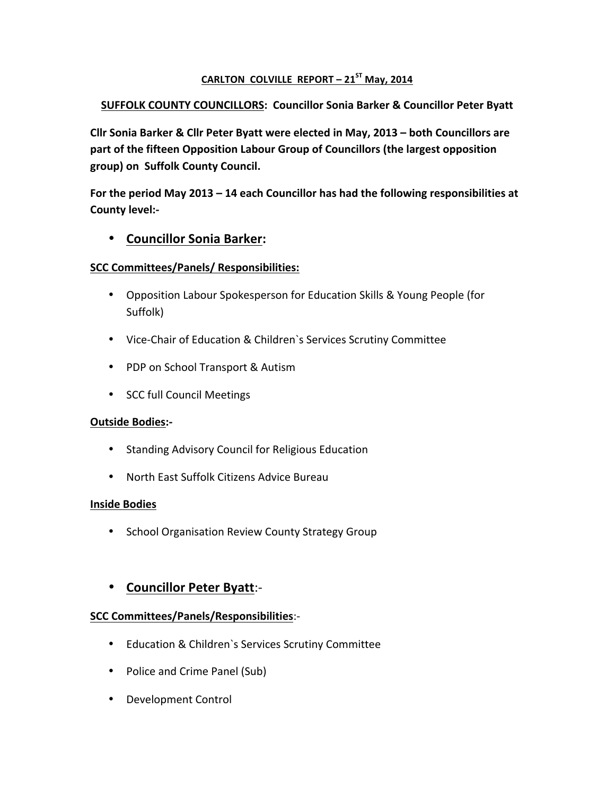## **CARLTON COLVILLE REPORT – 21ST May, 2014**

## **SUFFOLK COUNTY COUNCILLORS: Councillor Sonia Barker & Councillor Peter Byatt**

**Cllr Sonia Barker & Cllr Peter Byatt were elected in May, 2013 - both Councillors are** part of the fifteen Opposition Labour Group of Councillors (the largest opposition group) on Suffolk County Council.

For the period May 2013 - 14 each Councillor has had the following responsibilities at **County level:-**

# • **Councillor Sonia Barker:**

#### **SCC Committees/Panels/ Responsibilities:**

- Opposition Labour Spokesperson for Education Skills & Young People (for Suffolk)
- Vice-Chair of Education & Children's Services Scrutiny Committee
- PDP on School Transport & Autism
- SCC full Council Meetings

#### **Outside Bodies:-**

- Standing Advisory Council for Religious Education
- North East Suffolk Citizens Advice Bureau

#### **Inside Bodies**

• School Organisation Review County Strategy Group

# • **Councillor Peter Byatt**:-

### **SCC Committees/Panels/Responsibilities**:-

- Education & Children's Services Scrutiny Committee
- Police and Crime Panel (Sub)
- Development Control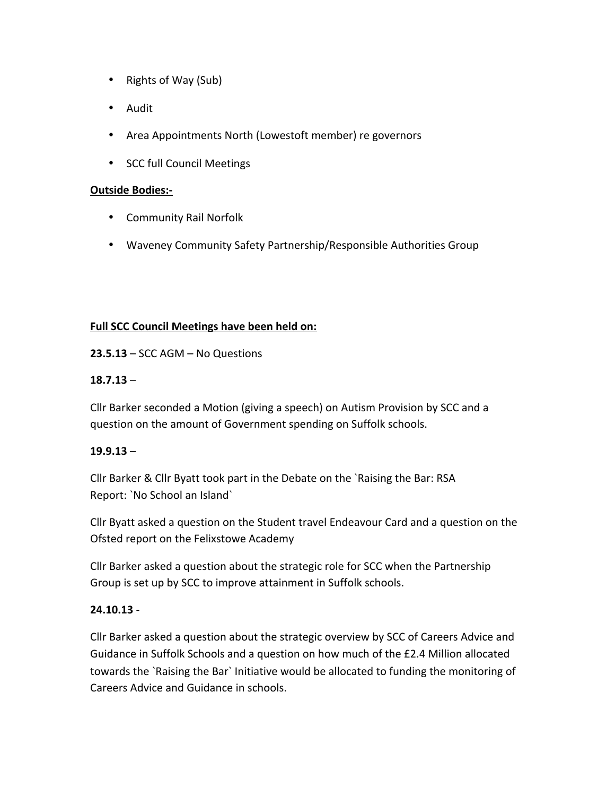- Rights of Way (Sub)
- Audit
- Area Appointments North (Lowestoft member) re governors
- SCC full Council Meetings

#### **Outside Bodies:-**

- Community Rail Norfolk
- Waveney Community Safety Partnership/Responsible Authorities Group

### **Full SCC Council Meetings have been held on:**

 $23.5.13 - SCC AGM - No Questions$ 

### **18.7.13** –

Cllr Barker seconded a Motion (giving a speech) on Autism Provision by SCC and a question on the amount of Government spending on Suffolk schools.

### **19.9.13** –

Cllr Barker & Cllr Byatt took part in the Debate on the `Raising the Bar: RSA Report: `No School an Island`

Cllr Byatt asked a question on the Student travel Endeavour Card and a question on the Ofsted report on the Felixstowe Academy

Cllr Barker asked a question about the strategic role for SCC when the Partnership Group is set up by SCC to improve attainment in Suffolk schools.

### **24.10.13** -

Cllr Barker asked a question about the strategic overview by SCC of Careers Advice and Guidance in Suffolk Schools and a question on how much of the £2.4 Million allocated towards the `Raising the Bar` Initiative would be allocated to funding the monitoring of Careers Advice and Guidance in schools.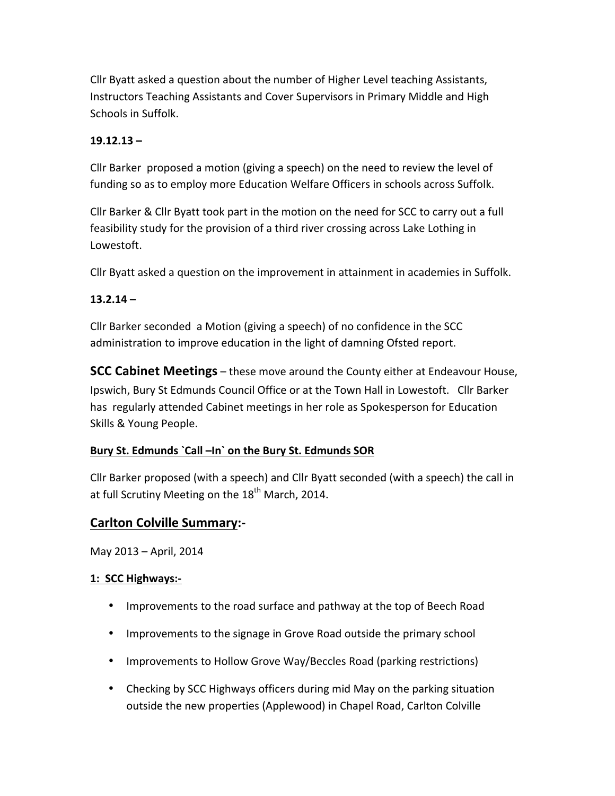Cllr Byatt asked a question about the number of Higher Level teaching Assistants, Instructors Teaching Assistants and Cover Supervisors in Primary Middle and High Schools in Suffolk.

## **19.12.13 –**

Cllr Barker proposed a motion (giving a speech) on the need to review the level of funding so as to employ more Education Welfare Officers in schools across Suffolk.

Cllr Barker & Cllr Byatt took part in the motion on the need for SCC to carry out a full feasibility study for the provision of a third river crossing across Lake Lothing in Lowestoft.

Cllr Byatt asked a question on the improvement in attainment in academies in Suffolk.

## **13.2.14 –**

Cllr Barker seconded a Motion (giving a speech) of no confidence in the SCC administration to improve education in the light of damning Ofsted report.

**SCC Cabinet Meetings** – these move around the County either at Endeavour House, Ipswich, Bury St Edmunds Council Office or at the Town Hall in Lowestoft. Cllr Barker has regularly attended Cabinet meetings in her role as Spokesperson for Education Skills & Young People.

### Bury St. Edmunds `Call -In` on the Bury St. Edmunds SOR

Cllr Barker proposed (with a speech) and Cllr Byatt seconded (with a speech) the call in at full Scrutiny Meeting on the  $18<sup>th</sup>$  March, 2014.

# **Carlton Colville Summary:-**

May 2013 - April, 2014

### **1: SCC Highways:-**

- Improvements to the road surface and pathway at the top of Beech Road
- Improvements to the signage in Grove Road outside the primary school
- Improvements to Hollow Grove Way/Beccles Road (parking restrictions)
- Checking by SCC Highways officers during mid May on the parking situation outside the new properties (Applewood) in Chapel Road, Carlton Colville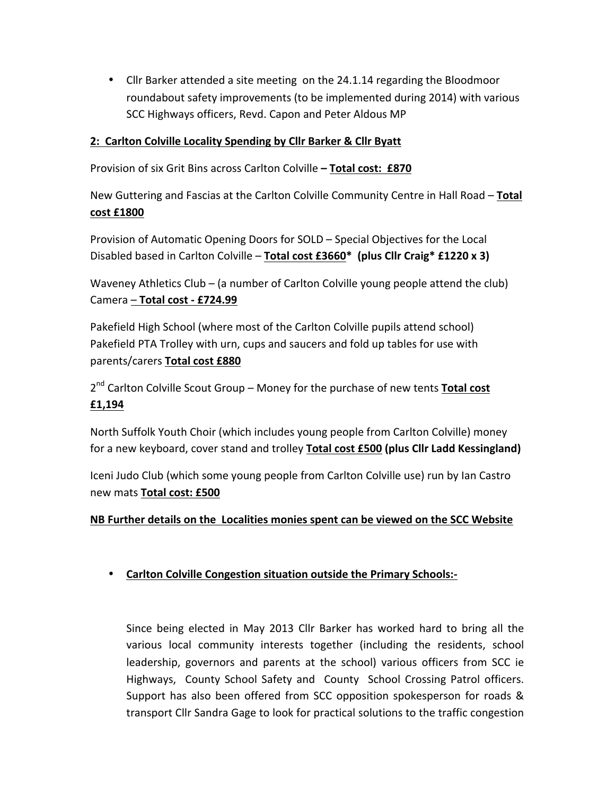• Cllr Barker attended a site meeting on the 24.1.14 regarding the Bloodmoor roundabout safety improvements (to be implemented during 2014) with various SCC Highways officers, Revd. Capon and Peter Aldous MP

## 2: Carlton Colville Locality Spending by Cllr Barker & Cllr Byatt

Provision of six Grit Bins across Carlton Colville - Total cost: £870

New Guttering and Fascias at the Carlton Colville Community Centre in Hall Road - Total **cost £1800**

Provision of Automatic Opening Doors for SOLD – Special Objectives for the Local Disabled based in Carlton Colville - Total cost £3660<sup>\*</sup> (plus Cllr Craig<sup>\*</sup> £1220 x 3)

Waveney Athletics Club – (a number of Carlton Colville young people attend the club) Camera – **Total cost - £724.99**

Pakefield High School (where most of the Carlton Colville pupils attend school) Pakefield PTA Trolley with urn, cups and saucers and fold up tables for use with parents/carers **Total cost £880**

2<sup>nd</sup> Carlton Colville Scout Group – Money for the purchase of new tents Total cost **£1,194**

North Suffolk Youth Choir (which includes young people from Carlton Colville) money for a new keyboard, cover stand and trolley Total cost £500 (plus Cllr Ladd Kessingland)

Iceni Judo Club (which some young people from Carlton Colville use) run by Ian Castro new mats **Total cost: £500**

### **NB Further details on the Localities monies spent can be viewed on the SCC Website**

# • Carlton Colville Congestion situation outside the Primary Schools:-

Since being elected in May 2013 Cllr Barker has worked hard to bring all the various local community interests together (including the residents, school leadership, governors and parents at the school) various officers from SCC ie Highways, County School Safety and County School Crossing Patrol officers. Support has also been offered from SCC opposition spokesperson for roads & transport Cllr Sandra Gage to look for practical solutions to the traffic congestion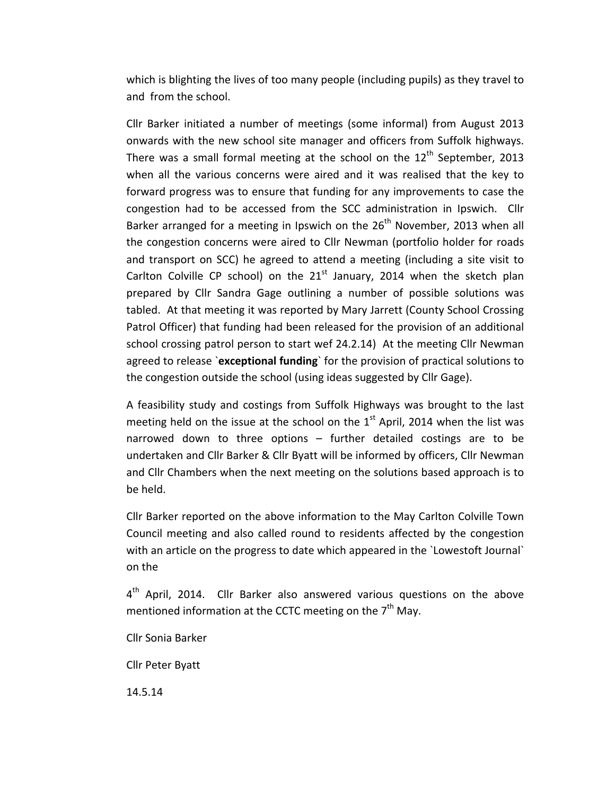which is blighting the lives of too many people (including pupils) as they travel to and from the school.

Cllr Barker initiated a number of meetings (some informal) from August 2013 onwards with the new school site manager and officers from Suffolk highways. There was a small formal meeting at the school on the  $12<sup>th</sup>$  September, 2013 when all the various concerns were aired and it was realised that the key to forward progress was to ensure that funding for any improvements to case the congestion had to be accessed from the SCC administration in Ipswich. Cllr Barker arranged for a meeting in Ipswich on the  $26<sup>th</sup>$  November, 2013 when all the congestion concerns were aired to Cllr Newman (portfolio holder for roads and transport on SCC) he agreed to attend a meeting (including a site visit to Carlton Colville CP school) on the  $21<sup>st</sup>$  January, 2014 when the sketch plan prepared by Cllr Sandra Gage outlining a number of possible solutions was tabled. At that meeting it was reported by Mary Jarrett (County School Crossing Patrol Officer) that funding had been released for the provision of an additional school crossing patrol person to start wef 24.2.14) At the meeting Cllr Newman agreed to release `exceptional funding` for the provision of practical solutions to the congestion outside the school (using ideas suggested by Cllr Gage).

A feasibility study and costings from Suffolk Highways was brought to the last meeting held on the issue at the school on the  $1<sup>st</sup>$  April, 2014 when the list was narrowed down to three options  $-$  further detailed costings are to be undertaken and Cllr Barker & Cllr Byatt will be informed by officers, Cllr Newman and Cllr Chambers when the next meeting on the solutions based approach is to be held.

Cllr Barker reported on the above information to the May Carlton Colville Town Council meeting and also called round to residents affected by the congestion with an article on the progress to date which appeared in the `Lowestoft Journal` on the 

 $4<sup>th</sup>$  April, 2014. Cllr Barker also answered various questions on the above mentioned information at the CCTC meeting on the  $7<sup>th</sup>$  May.

Cllr Sonia Barker

Cllr Peter Byatt

14.5.14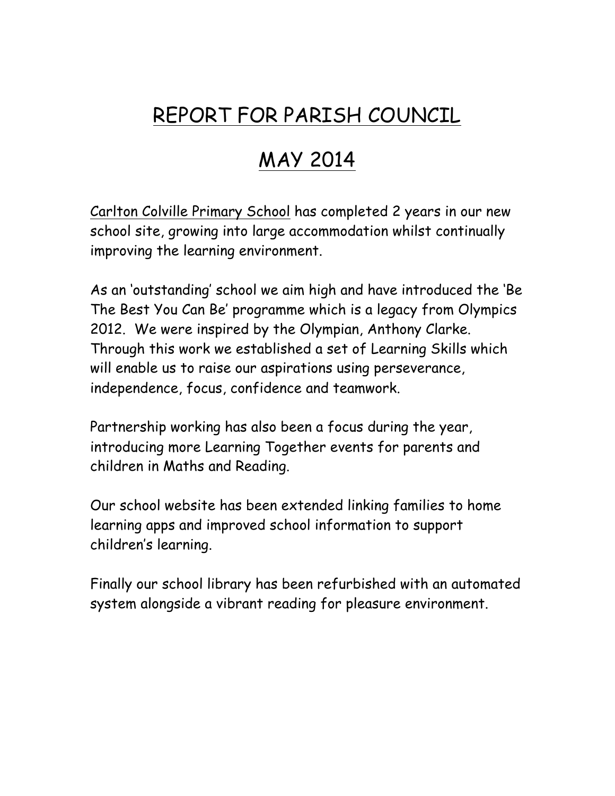# REPORT FOR PARISH COUNCIL

# MAY 2014

Carlton Colville Primary School has completed 2 years in our new school site, growing into large accommodation whilst continually improving the learning environment.

As an 'outstanding' school we aim high and have introduced the 'Be The Best You Can Be' programme which is a legacy from Olympics 2012. We were inspired by the Olympian, Anthony Clarke. Through this work we established a set of Learning Skills which will enable us to raise our aspirations using perseverance, independence, focus, confidence and teamwork.

Partnership working has also been a focus during the year, introducing more Learning Together events for parents and children in Maths and Reading.

Our school website has been extended linking families to home learning apps and improved school information to support children's learning.

Finally our school library has been refurbished with an automated system alongside a vibrant reading for pleasure environment.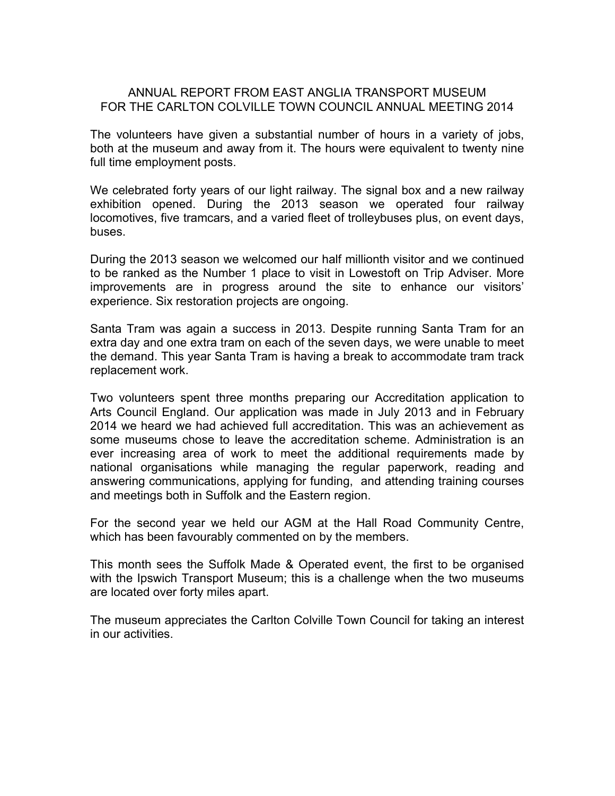#### ANNUAL REPORT FROM EAST ANGLIA TRANSPORT MUSEUM FOR THE CARLTON COLVILLE TOWN COUNCIL ANNUAL MEETING 2014

The volunteers have given a substantial number of hours in a variety of jobs, both at the museum and away from it. The hours were equivalent to twenty nine full time employment posts.

We celebrated forty years of our light railway. The signal box and a new railway exhibition opened. During the 2013 season we operated four railway locomotives, five tramcars, and a varied fleet of trolleybuses plus, on event days, buses.

During the 2013 season we welcomed our half millionth visitor and we continued to be ranked as the Number 1 place to visit in Lowestoft on Trip Adviser. More improvements are in progress around the site to enhance our visitors' experience. Six restoration projects are ongoing.

Santa Tram was again a success in 2013. Despite running Santa Tram for an extra day and one extra tram on each of the seven days, we were unable to meet the demand. This year Santa Tram is having a break to accommodate tram track replacement work.

Two volunteers spent three months preparing our Accreditation application to Arts Council England. Our application was made in July 2013 and in February 2014 we heard we had achieved full accreditation. This was an achievement as some museums chose to leave the accreditation scheme. Administration is an ever increasing area of work to meet the additional requirements made by national organisations while managing the regular paperwork, reading and answering communications, applying for funding, and attending training courses and meetings both in Suffolk and the Eastern region.

For the second year we held our AGM at the Hall Road Community Centre, which has been favourably commented on by the members.

This month sees the Suffolk Made & Operated event, the first to be organised with the Ipswich Transport Museum; this is a challenge when the two museums are located over forty miles apart.

The museum appreciates the Carlton Colville Town Council for taking an interest in our activities.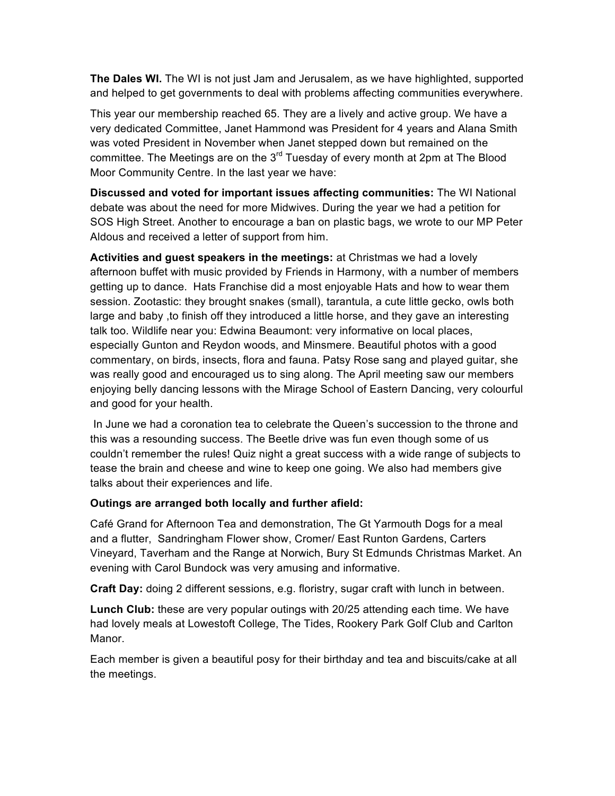**The Dales WI.** The WI is not just Jam and Jerusalem, as we have highlighted, supported and helped to get governments to deal with problems affecting communities everywhere.

This year our membership reached 65. They are a lively and active group. We have a very dedicated Committee, Janet Hammond was President for 4 years and Alana Smith was voted President in November when Janet stepped down but remained on the committee. The Meetings are on the  $3<sup>rd</sup>$  Tuesday of every month at 2pm at The Blood Moor Community Centre. In the last year we have:

**Discussed and voted for important issues affecting communities:** The WI National debate was about the need for more Midwives. During the year we had a petition for SOS High Street. Another to encourage a ban on plastic bags, we wrote to our MP Peter Aldous and received a letter of support from him.

**Activities and guest speakers in the meetings:** at Christmas we had a lovely afternoon buffet with music provided by Friends in Harmony, with a number of members getting up to dance. Hats Franchise did a most enjoyable Hats and how to wear them session. Zootastic: they brought snakes (small), tarantula, a cute little gecko, owls both large and baby ,to finish off they introduced a little horse, and they gave an interesting talk too. Wildlife near you: Edwina Beaumont: very informative on local places, especially Gunton and Reydon woods, and Minsmere. Beautiful photos with a good commentary, on birds, insects, flora and fauna. Patsy Rose sang and played guitar, she was really good and encouraged us to sing along. The April meeting saw our members enjoying belly dancing lessons with the Mirage School of Eastern Dancing, very colourful and good for your health.

In June we had a coronation tea to celebrate the Queen's succession to the throne and this was a resounding success. The Beetle drive was fun even though some of us couldn't remember the rules! Quiz night a great success with a wide range of subjects to tease the brain and cheese and wine to keep one going. We also had members give talks about their experiences and life.

### **Outings are arranged both locally and further afield:**

Café Grand for Afternoon Tea and demonstration, The Gt Yarmouth Dogs for a meal and a flutter, Sandringham Flower show, Cromer/ East Runton Gardens, Carters Vineyard, Taverham and the Range at Norwich, Bury St Edmunds Christmas Market. An evening with Carol Bundock was very amusing and informative.

**Craft Day:** doing 2 different sessions, e.g. floristry, sugar craft with lunch in between.

**Lunch Club:** these are very popular outings with 20/25 attending each time. We have had lovely meals at Lowestoft College, The Tides, Rookery Park Golf Club and Carlton Manor.

Each member is given a beautiful posy for their birthday and tea and biscuits/cake at all the meetings.